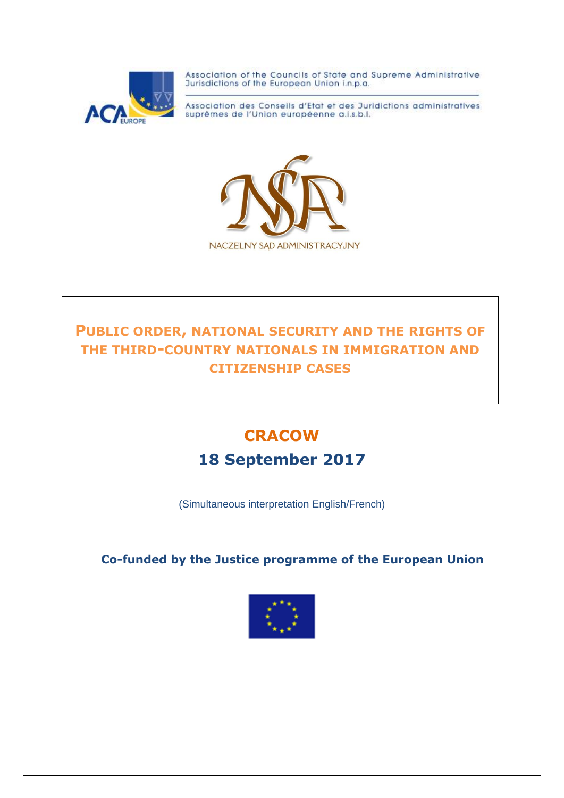

Association of the Councils of State and Supreme Administrative Jurisdictions of the European Union i.n.p.a.

Association des Conseils d'Etat et des Juridictions administratives suprêmes de l'Union européenne a.i.s.b.l.



## **PUBLIC ORDER, NATIONAL SECURITY AND THE RIGHTS OF THE THIRD-COUNTRY NATIONALS IN IMMIGRATION AND CITIZENSHIP CASES**

# **CRACOW**

## **18 September 2017**

(Simultaneous interpretation English/French)

**Co-funded by the Justice programme of the European Union**

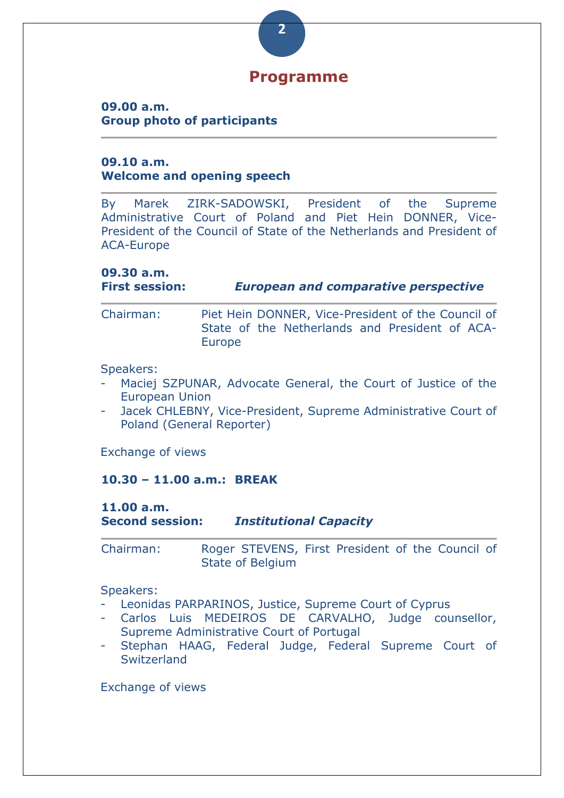# **Programme**

**2**

#### **09.00 a.m. Group photo of participants**

#### **09.10 a.m. Welcome and opening speech**

By Marek ZIRK-SADOWSKI, President of the Supreme Administrative Court of Poland and Piet Hein DONNER, Vice-President of the Council of State of the Netherlands and President of ACA-Europe

## **09.30 a.m.**

#### **First session:** *European and comparative perspective*

Chairman: Piet Hein DONNER, Vice-President of the Council of State of the Netherlands and President of ACA-Europe

#### Speakers:

- Maciej SZPUNAR, Advocate General, the Court of Justice of the European Union
- Jacek CHLEBNY, Vice-President, Supreme Administrative Court of Poland (General Reporter)

Exchange of views

#### **10.30 – 11.00 a.m.: BREAK**

#### **11.00 a.m. Second session:** *Institutional Capacity*

Chairman: Roger STEVENS, First President of the Council of State of Belgium

#### Speakers:

- Leonidas PARPARINOS, Justice, Supreme Court of Cyprus
- Carlos Luis MEDEIROS DE CARVALHO, Judge counsellor, Supreme Administrative Court of Portugal
- Stephan HAAG, Federal Judge, Federal Supreme Court of **Switzerland**

Exchange of views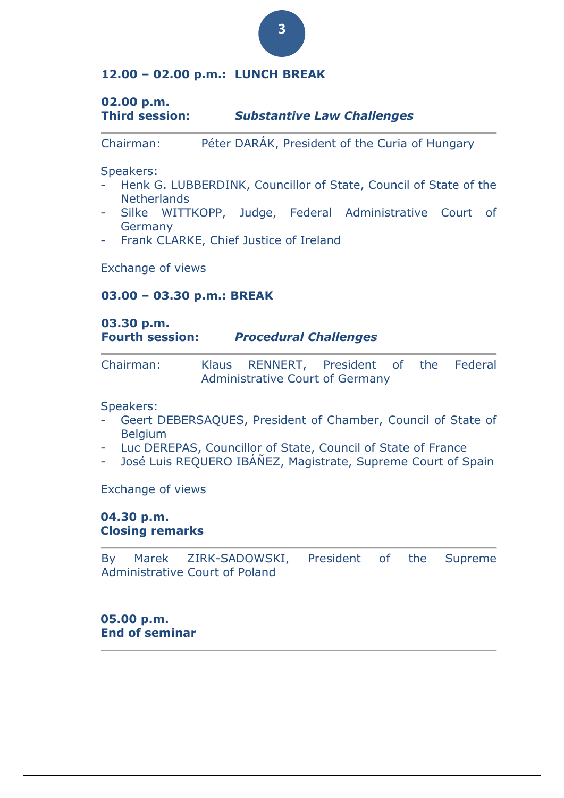#### **12.00 – 02.00 p.m.: LUNCH BREAK**

#### **02.00 p.m. Third session:** *Substantive Law Challenges*

Chairman: Péter DARÁK, President of the Curia of Hungary

Speakers:

- Henk G. LUBBERDINK, Councillor of State, Council of State of the **Netherlands**
- Silke WITTKOPP, Judge, Federal Administrative Court of Germany
- Frank CLARKE, Chief Justice of Ireland

Exchange of views

#### **03.00 – 03.30 p.m.: BREAK**

#### **03.30 p.m. Fourth session:** *Procedural Challenges*

| Chairman: |                                 | Klaus RENNERT, President of the Federal |  |  |  |
|-----------|---------------------------------|-----------------------------------------|--|--|--|
|           | Administrative Court of Germany |                                         |  |  |  |

Speakers:

- Geert DEBERSAQUES, President of Chamber, Council of State of **Belgium**
- Luc DEREPAS, Councillor of State, Council of State of France
- José Luis REQUERO IBÁÑEZ, Magistrate, Supreme Court of Spain

Exchange of views

#### **04.30 p.m. Closing remarks**

By Marek ZIRK-SADOWSKI, President of the Supreme Administrative Court of Poland

**05.00 p.m. End of seminar**  **3**